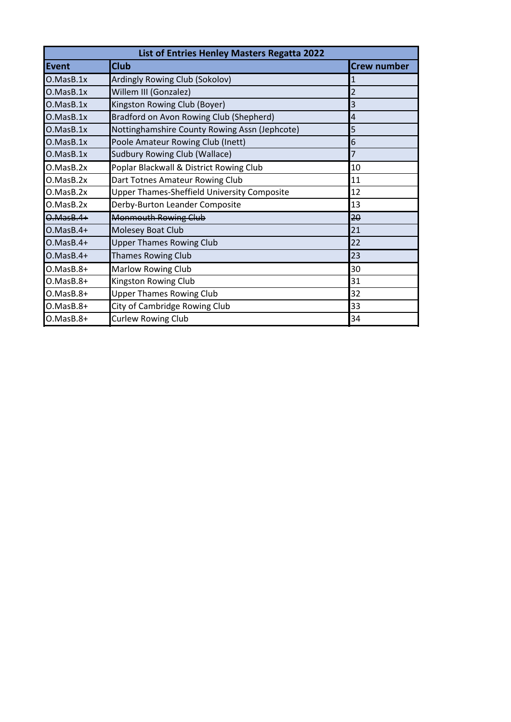| List of Entries Henley Masters Regatta 2022 |                                               |                    |
|---------------------------------------------|-----------------------------------------------|--------------------|
| Event                                       | <b>Club</b>                                   | <b>Crew number</b> |
| O.MasB.1x                                   | Ardingly Rowing Club (Sokolov)                |                    |
| O.MasB.1x                                   | Willem III (Gonzalez)                         | 2                  |
| O.MasB.1x                                   | Kingston Rowing Club (Boyer)                  | 3                  |
| O.MasB.1x                                   | Bradford on Avon Rowing Club (Shepherd)       | $\overline{4}$     |
| O.MasB.1x                                   | Nottinghamshire County Rowing Assn (Jephcote) | 5                  |
| O.MasB.1x                                   | Poole Amateur Rowing Club (Inett)             | 6                  |
| O.MasB.1x                                   | <b>Sudbury Rowing Club (Wallace)</b>          | 7                  |
| O.MasB.2x                                   | Poplar Blackwall & District Rowing Club       | 10                 |
| O.MasB.2x                                   | Dart Totnes Amateur Rowing Club               | 11                 |
| O.MasB.2x                                   | Upper Thames-Sheffield University Composite   | 12                 |
| O.MasB.2x                                   | Derby-Burton Leander Composite                | 13                 |
| $0.MassB.4+$                                | <b>Monmouth Rowing Club</b>                   | $2\theta$          |
| $O.MasB.4+$                                 | Molesey Boat Club                             | 21                 |
| $O.MasB.4+$                                 | <b>Upper Thames Rowing Club</b>               | 22                 |
| $O.MasB.4+$                                 | <b>Thames Rowing Club</b>                     | 23                 |
| $O.MasB.8+$                                 | <b>Marlow Rowing Club</b>                     | 30                 |
| O.MasB.8+                                   | Kingston Rowing Club                          | 31                 |
| $O.MasB.8+$                                 | <b>Upper Thames Rowing Club</b>               | 32                 |
| $O.MasB.8+$                                 | City of Cambridge Rowing Club                 | 33                 |
| O.MasB.8+                                   | <b>Curlew Rowing Club</b>                     | 34                 |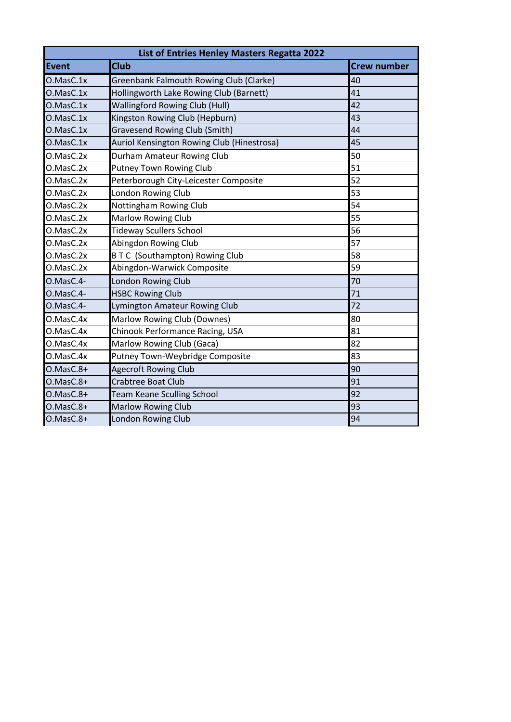| List of Entries Henley Masters Regatta 2022 |                                            |                    |
|---------------------------------------------|--------------------------------------------|--------------------|
| Event                                       | <b>Club</b>                                | <b>Crew number</b> |
| O.MasC.1x                                   | Greenbank Falmouth Rowing Club (Clarke)    | 40                 |
| O.MasC.1x                                   | Hollingworth Lake Rowing Club (Barnett)    | 41                 |
| O.MasC.1x                                   | <b>Wallingford Rowing Club (Hull)</b>      | 42                 |
| O.MasC.1x                                   | Kingston Rowing Club (Hepburn)             | 43                 |
| O.MasC.1x                                   | <b>Gravesend Rowing Club (Smith)</b>       | 44                 |
| O.MasC.1x                                   | Auriol Kensington Rowing Club (Hinestrosa) | 45                 |
| O.MasC.2x                                   | Durham Amateur Rowing Club                 | 50                 |
| O.MasC.2x                                   | <b>Putney Town Rowing Club</b>             | 51                 |
| O.MasC.2x                                   | Peterborough City-Leicester Composite      | 52                 |
| O.MasC.2x                                   | London Rowing Club                         | 53                 |
| O.MasC.2x                                   | Nottingham Rowing Club                     | 54                 |
| O.MasC.2x                                   | Marlow Rowing Club                         | 55                 |
| O.MasC.2x                                   | <b>Tideway Scullers School</b>             | 56                 |
| O.MasC.2x                                   | Abingdon Rowing Club                       | 57                 |
| O.MasC.2x                                   | <b>BTC (Southampton) Rowing Club</b>       | 58                 |
| O.MasC.2x                                   | Abingdon-Warwick Composite                 | 59                 |
| O.MasC.4-                                   | London Rowing Club                         | 70                 |
| O.MasC.4-                                   | <b>HSBC Rowing Club</b>                    | 71                 |
| O.MasC.4-                                   | Lymington Amateur Rowing Club              | 72                 |
| O.MasC.4x                                   | Marlow Rowing Club (Downes)                | 80                 |
| O.MasC.4x                                   | Chinook Performance Racing, USA            | 81                 |
| O.MasC.4x                                   | Marlow Rowing Club (Gaca)                  | 82                 |
| O.MasC.4x                                   | Putney Town-Weybridge Composite            | 83                 |
| $O.MasC.8+$                                 | <b>Agecroft Rowing Club</b>                | 90                 |
| O.MasC.8+                                   | <b>Crabtree Boat Club</b>                  | 91                 |
| O.MasC.8+                                   | <b>Team Keane Sculling School</b>          | 92                 |
| O.MasC.8+                                   | <b>Marlow Rowing Club</b>                  | 93                 |
| O.MasC.8+                                   | London Rowing Club                         | 94                 |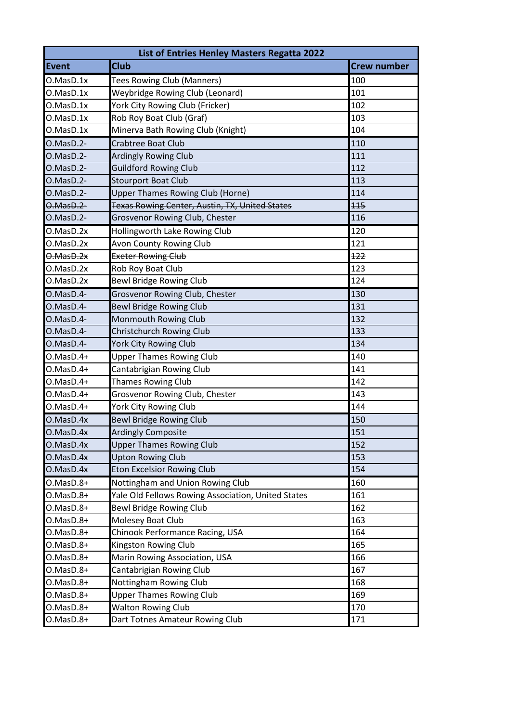| List of Entries Henley Masters Regatta 2022 |                                                       |                    |  |
|---------------------------------------------|-------------------------------------------------------|--------------------|--|
| Event                                       | <b>Club</b>                                           | <b>Crew number</b> |  |
| O.MasD.1x                                   | Tees Rowing Club (Manners)                            | 100                |  |
| O.MaSD.1x                                   | Weybridge Rowing Club (Leonard)                       | 101                |  |
| O.MaSD.1x                                   | York City Rowing Club (Fricker)                       | 102                |  |
| O.MasD.1x                                   | Rob Roy Boat Club (Graf)                              | 103                |  |
| O.MasD.1x                                   | Minerva Bath Rowing Club (Knight)                     | 104                |  |
| O.MasD.2-                                   | Crabtree Boat Club                                    | 110                |  |
| O.MasD.2-                                   | <b>Ardingly Rowing Club</b>                           | 111                |  |
| O.MasD.2-                                   | <b>Guildford Rowing Club</b>                          | 112                |  |
| O.MasD.2-                                   | <b>Stourport Boat Club</b>                            | 113                |  |
| O.MasD.2-                                   | <b>Upper Thames Rowing Club (Horne)</b>               | 114                |  |
| O.MasD.2-                                   | <b>Texas Rowing Center, Austin, TX, United States</b> | 115                |  |
| O.MasD.2-                                   | Grosvenor Rowing Club, Chester                        | 116                |  |
| O.MasD.2x                                   | Hollingworth Lake Rowing Club                         | 120                |  |
| O.MasD.2x                                   | <b>Avon County Rowing Club</b>                        | 121                |  |
| $0.04$ $0.04$ $0.04$ $0.04$                 | <b>Exeter Rowing Club</b>                             | 122                |  |
| O.MasD.2x                                   | Rob Roy Boat Club                                     | 123                |  |
| O.MasD.2x                                   | <b>Bewl Bridge Rowing Club</b>                        | 124                |  |
| O.MasD.4-                                   | Grosvenor Rowing Club, Chester                        | 130                |  |
| O.MasD.4-                                   | <b>Bewl Bridge Rowing Club</b>                        | 131                |  |
| O.MasD.4-                                   | Monmouth Rowing Club                                  | 132                |  |
| O.MasD.4-                                   | <b>Christchurch Rowing Club</b>                       | 133                |  |
| O.MasD.4-                                   | York City Rowing Club                                 | 134                |  |
| $0.MasD.4+$                                 | <b>Upper Thames Rowing Club</b>                       | 140                |  |
| $0.MasD.4+$                                 | Cantabrigian Rowing Club                              | 141                |  |
| $0.MasD.4+$                                 | <b>Thames Rowing Club</b>                             | 142                |  |
| $O.MasD.4+$                                 | Grosvenor Rowing Club, Chester                        | 143                |  |
| O.MasD.4+                                   | York City Rowing Club                                 | 144                |  |
| O.MasD.4x                                   | <b>Bewl Bridge Rowing Club</b>                        | 150                |  |
| O.MasD.4x                                   | <b>Ardingly Composite</b>                             | 151                |  |
| O.MasD.4x                                   | <b>Upper Thames Rowing Club</b>                       | 152                |  |
| O.MasD.4x                                   | <b>Upton Rowing Club</b>                              | 153                |  |
| O.MasD.4x                                   | <b>Eton Excelsior Rowing Club</b>                     | 154                |  |
| $0.MasD.8+$                                 | Nottingham and Union Rowing Club                      | 160                |  |
| O.MasD.8+                                   | Yale Old Fellows Rowing Association, United States    | 161                |  |
| O.MasD.8+                                   | Bewl Bridge Rowing Club                               | 162                |  |
| O.MasD.8+                                   | Molesey Boat Club                                     | 163                |  |
| O.MasD.8+                                   | Chinook Performance Racing, USA                       | 164                |  |
| O.MasD.8+                                   | Kingston Rowing Club                                  | 165                |  |
| O.MasD.8+                                   | Marin Rowing Association, USA                         | 166                |  |
| O.MasD.8+                                   | Cantabrigian Rowing Club                              | 167                |  |
| O.MasD.8+                                   | Nottingham Rowing Club                                | 168                |  |
| O.MasD.8+                                   | <b>Upper Thames Rowing Club</b>                       | 169                |  |
| $0.MasD.8+$                                 | <b>Walton Rowing Club</b>                             | 170                |  |
| $0.MasD.8+$                                 | Dart Totnes Amateur Rowing Club                       | 171                |  |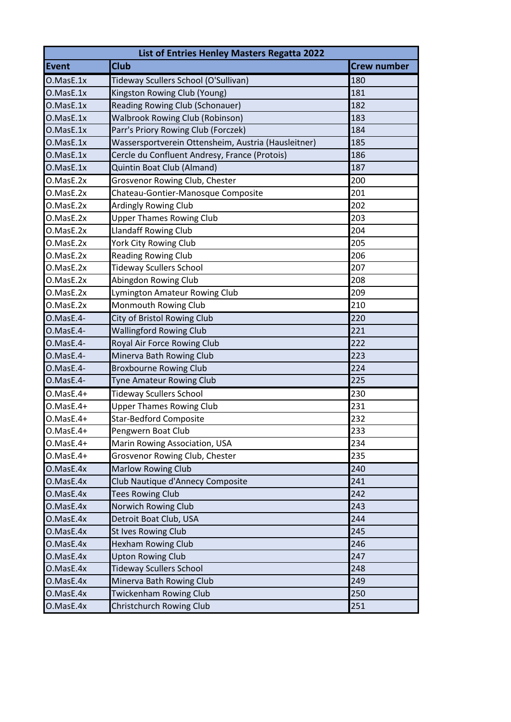| <b>List of Entries Henley Masters Regatta 2022</b> |                                                     |                    |
|----------------------------------------------------|-----------------------------------------------------|--------------------|
| Event                                              | <b>Club</b>                                         | <b>Crew number</b> |
| O.MasE.1x                                          | Tideway Scullers School (O'Sullivan)                | 180                |
| O.MasE.1x                                          | Kingston Rowing Club (Young)                        | 181                |
| O.MasE.1x                                          | <b>Reading Rowing Club (Schonauer)</b>              | 182                |
| O.MasE.1x                                          | <b>Walbrook Rowing Club (Robinson)</b>              | 183                |
| O.MasE.1x                                          | Parr's Priory Rowing Club (Forczek)                 | 184                |
| O.MasE.1x                                          | Wassersportverein Ottensheim, Austria (Hausleitner) | 185                |
| O.MasE.1x                                          | Cercle du Confluent Andresy, France (Protois)       | 186                |
| O.MasE.1x                                          | Quintin Boat Club (Almand)                          | 187                |
| O.MasE.2x                                          | Grosvenor Rowing Club, Chester                      | 200                |
| O.MasE.2x                                          | Chateau-Gontier-Manosque Composite                  | 201                |
| O.MasE.2x                                          | <b>Ardingly Rowing Club</b>                         | 202                |
| O.MasE.2x                                          | <b>Upper Thames Rowing Club</b>                     | 203                |
| O.MasE.2x                                          | <b>Llandaff Rowing Club</b>                         | 204                |
| O.MasE.2x                                          | York City Rowing Club                               | 205                |
| O.MasE.2x                                          | <b>Reading Rowing Club</b>                          | 206                |
| O.MasE.2x                                          | <b>Tideway Scullers School</b>                      | 207                |
| O.MasE.2x                                          | Abingdon Rowing Club                                | 208                |
| O.MasE.2x                                          | Lymington Amateur Rowing Club                       | 209                |
| O.MasE.2x                                          | Monmouth Rowing Club                                | 210                |
| O.MasE.4-                                          | City of Bristol Rowing Club                         | 220                |
| O.MasE.4-                                          | <b>Wallingford Rowing Club</b>                      | 221                |
| O.MasE.4-                                          | Royal Air Force Rowing Club                         | 222                |
| O.MasE.4-                                          | Minerva Bath Rowing Club                            | 223                |
| O.MasE.4-                                          | <b>Broxbourne Rowing Club</b>                       | 224                |
| O.MasE.4-                                          | <b>Tyne Amateur Rowing Club</b>                     | 225                |
| O.MasE.4+                                          | <b>Tideway Scullers School</b>                      | 230                |
| O.MasE.4+                                          | <b>Upper Thames Rowing Club</b>                     | 231                |
| O.MasE.4+                                          | <b>Star-Bedford Composite</b>                       | 232                |
| O.MasE.4+                                          | Pengwern Boat Club                                  | 233                |
| $O.MasE.4+$                                        | Marin Rowing Association, USA                       | 234                |
| O.MasE.4+                                          | Grosvenor Rowing Club, Chester                      | 235                |
| O.MasE.4x                                          | <b>Marlow Rowing Club</b>                           | 240                |
| O.MasE.4x                                          | Club Nautique d'Annecy Composite                    | 241                |
| O.MasE.4x                                          | <b>Tees Rowing Club</b>                             | 242                |
| O.MasE.4x                                          | Norwich Rowing Club                                 | 243                |
| O.MasE.4x                                          | Detroit Boat Club, USA                              | 244                |
| O.MasE.4x                                          | St Ives Rowing Club                                 | 245                |
| O.MasE.4x                                          | <b>Hexham Rowing Club</b>                           | 246                |
| O.MasE.4x                                          | <b>Upton Rowing Club</b>                            | 247                |
| O.MasE.4x                                          | <b>Tideway Scullers School</b>                      | 248                |
| O.MasE.4x                                          | Minerva Bath Rowing Club                            | 249                |
| O.MasE.4x                                          | <b>Twickenham Rowing Club</b>                       | 250                |
| O.MasE.4x                                          | Christchurch Rowing Club                            | 251                |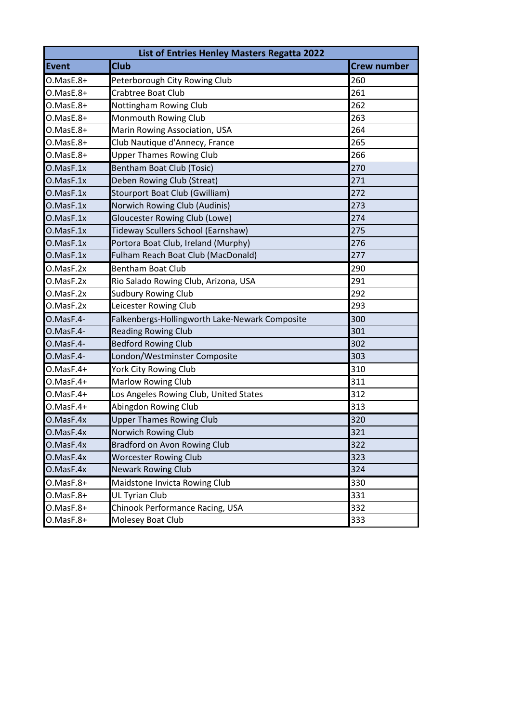| List of Entries Henley Masters Regatta 2022 |                                                |                    |
|---------------------------------------------|------------------------------------------------|--------------------|
| <b>Event</b>                                | <b>Club</b>                                    | <b>Crew number</b> |
| O.MasE.8+                                   | Peterborough City Rowing Club                  | 260                |
| $O.MasE.8+$                                 | Crabtree Boat Club                             | 261                |
| O.MasE.8+                                   | <b>Nottingham Rowing Club</b>                  | 262                |
| O.MasE.8+                                   | Monmouth Rowing Club                           | 263                |
| O.MasE.8+                                   | Marin Rowing Association, USA                  | 264                |
| O.MasE.8+                                   | Club Nautique d'Annecy, France                 | 265                |
| O.MasE.8+                                   | <b>Upper Thames Rowing Club</b>                | 266                |
| O.MasF.1x                                   | Bentham Boat Club (Tosic)                      | 270                |
| O.MasF.1x                                   | Deben Rowing Club (Streat)                     | 271                |
| O.MasF.1x                                   | Stourport Boat Club (Gwilliam)                 | 272                |
| O.MasF.1x                                   | Norwich Rowing Club (Audinis)                  | 273                |
| O.MasF.1x                                   | <b>Gloucester Rowing Club (Lowe)</b>           | 274                |
| O.MasF.1x                                   | Tideway Scullers School (Earnshaw)             | 275                |
| O.MasF.1x                                   | Portora Boat Club, Ireland (Murphy)            | 276                |
| O.MasF.1x                                   | Fulham Reach Boat Club (MacDonald)             | 277                |
| O.MasF.2x                                   | <b>Bentham Boat Club</b>                       | 290                |
| O.MasF.2x                                   | Rio Salado Rowing Club, Arizona, USA           | 291                |
| O.MasF.2x                                   | <b>Sudbury Rowing Club</b>                     | 292                |
| O.MasF.2x                                   | Leicester Rowing Club                          | 293                |
| O.MasF.4-                                   | Falkenbergs-Hollingworth Lake-Newark Composite | 300                |
| O.MasF.4-                                   | <b>Reading Rowing Club</b>                     | 301                |
| O.MasF.4-                                   | <b>Bedford Rowing Club</b>                     | 302                |
| O.MasF.4-                                   | London/Westminster Composite                   | 303                |
| O.MasF.4+                                   | York City Rowing Club                          | 310                |
| $O.MasF.4+$                                 | Marlow Rowing Club                             | 311                |
| $O.MasF.4+$                                 | Los Angeles Rowing Club, United States         | 312                |
| $O.MasF.4+$                                 | Abingdon Rowing Club                           | 313                |
| O.MasF.4x                                   | <b>Upper Thames Rowing Club</b>                | 320                |
| O.MasF.4x                                   | Norwich Rowing Club                            | 321                |
| O.MasF.4x                                   | Bradford on Avon Rowing Club                   | 322                |
| O.MasF.4x                                   | <b>Worcester Rowing Club</b>                   | 323                |
| O.MasF.4x                                   | <b>Newark Rowing Club</b>                      | 324                |
| O.MasF.8+                                   | Maidstone Invicta Rowing Club                  | 330                |
| O.MasF.8+                                   | UL Tyrian Club                                 | 331                |
| O.MasF.8+                                   | Chinook Performance Racing, USA                | 332                |
| O.MasF.8+                                   | Molesey Boat Club                              | 333                |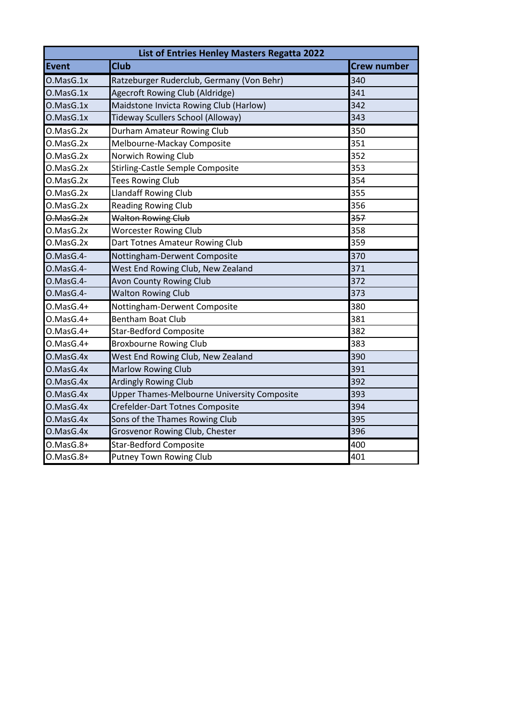| List of Entries Henley Masters Regatta 2022 |                                                    |                    |
|---------------------------------------------|----------------------------------------------------|--------------------|
| Event                                       | <b>Club</b>                                        | <b>Crew number</b> |
| O.MasG.1x                                   | Ratzeburger Ruderclub, Germany (Von Behr)          | 340                |
| O.MasG.1x                                   | Agecroft Rowing Club (Aldridge)                    | 341                |
| O.MasG.1x                                   | Maidstone Invicta Rowing Club (Harlow)             | 342                |
| O.MasG.1x                                   | Tideway Scullers School (Alloway)                  | 343                |
| O.MasG.2x                                   | Durham Amateur Rowing Club                         | 350                |
| O.MasG.2x                                   | Melbourne-Mackay Composite                         | 351                |
| O.MasG.2x                                   | Norwich Rowing Club                                | 352                |
| O.MasG.2x                                   | Stirling-Castle Semple Composite                   | 353                |
| O.MasG.2x                                   | <b>Tees Rowing Club</b>                            | 354                |
| O.MasG.2x                                   | <b>Llandaff Rowing Club</b>                        | 355                |
| O.MasG.2x                                   | <b>Reading Rowing Club</b>                         | 356                |
| $0.00$ $0.00$ $0.00$                        | <b>Walton Rowing Club</b>                          | 357                |
| O.MasG.2x                                   | <b>Worcester Rowing Club</b>                       | 358                |
| O.MasG.2x                                   | Dart Totnes Amateur Rowing Club                    | 359                |
| O.MasG.4-                                   | Nottingham-Derwent Composite                       | 370                |
| O.MasG.4-                                   | West End Rowing Club, New Zealand                  | 371                |
| O.MasG.4-                                   | <b>Avon County Rowing Club</b>                     | 372                |
| O.MasG.4-                                   | <b>Walton Rowing Club</b>                          | 373                |
| O.MasG.4+                                   | Nottingham-Derwent Composite                       | 380                |
| $0.MasG.4+$                                 | <b>Bentham Boat Club</b>                           | 381                |
| $0.MasG.4+$                                 | <b>Star-Bedford Composite</b>                      | 382                |
| $0.$ Mas $G.4+$                             | <b>Broxbourne Rowing Club</b>                      | 383                |
| O.MasG.4x                                   | West End Rowing Club, New Zealand                  | 390                |
| O.MasG.4x                                   | <b>Marlow Rowing Club</b>                          | 391                |
| O.MasG.4x                                   | <b>Ardingly Rowing Club</b>                        | 392                |
| O.MasG.4x                                   | <b>Upper Thames-Melbourne University Composite</b> | 393                |
| O.MasG.4x                                   | Crefelder-Dart Totnes Composite                    | 394                |
| O.MasG.4x                                   | Sons of the Thames Rowing Club                     | 395                |
| O.MasG.4x                                   | Grosvenor Rowing Club, Chester                     | 396                |
| $0.$ Mas $G.8+$                             | <b>Star-Bedford Composite</b>                      | 400                |
| O.MasG.8+                                   | <b>Putney Town Rowing Club</b>                     | 401                |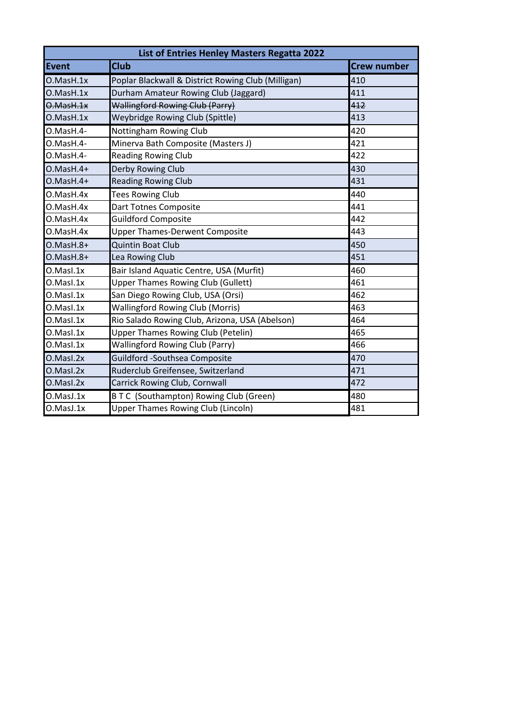|                 | List of Entries Henley Masters Regatta 2022        |                    |  |
|-----------------|----------------------------------------------------|--------------------|--|
| Event           | <b>Club</b>                                        | <b>Crew number</b> |  |
| O.Mash.1x       | Poplar Blackwall & District Rowing Club (Milligan) | 410                |  |
| O.Mash.1x       | Durham Amateur Rowing Club (Jaggard)               | 411                |  |
| O.MasH.1x       | <b>Wallingford Rowing Club (Parry)</b>             | 412                |  |
| O.Mash.1x       | Weybridge Rowing Club (Spittle)                    | 413                |  |
| O.MasH.4-       | Nottingham Rowing Club                             | 420                |  |
| O.MasH.4-       | Minerva Bath Composite (Masters J)                 | 421                |  |
| O.MasH.4-       | <b>Reading Rowing Club</b>                         | 422                |  |
| $O.Mash.4+$     | Derby Rowing Club                                  | 430                |  |
| $O.Mash.4+$     | <b>Reading Rowing Club</b>                         | 431                |  |
| O.MasH.4x       | <b>Tees Rowing Club</b>                            | 440                |  |
| O.MasH.4x       | Dart Totnes Composite                              | 441                |  |
| O.MasH.4x       | <b>Guildford Composite</b>                         | 442                |  |
| O.MasH.4x       | <b>Upper Thames-Derwent Composite</b>              | 443                |  |
| $O.Mash.8+$     | <b>Quintin Boat Club</b>                           | 450                |  |
| $O.Mash.8+$     | Lea Rowing Club                                    | 451                |  |
| O.Masl.1x       | Bair Island Aquatic Centre, USA (Murfit)           | 460                |  |
| O.Masl.1x       | <b>Upper Thames Rowing Club (Gullett)</b>          | 461                |  |
| $0.$ Masl $.1x$ | San Diego Rowing Club, USA (Orsi)                  | 462                |  |
| O.Masl.1x       | <b>Wallingford Rowing Club (Morris)</b>            | 463                |  |
| O.Masl.1x       | Rio Salado Rowing Club, Arizona, USA (Abelson)     | 464                |  |
| O.Masl.1x       | <b>Upper Thames Rowing Club (Petelin)</b>          | 465                |  |
| O.Masl.1x       | <b>Wallingford Rowing Club (Parry)</b>             | 466                |  |
| O.Masl.2x       | <b>Guildford -Southsea Composite</b>               | 470                |  |
| O.Masl.2x       | Ruderclub Greifensee, Switzerland                  | 471                |  |
| O.Masl.2x       | Carrick Rowing Club, Cornwall                      | 472                |  |
| O.MasJ.1x       | BTC (Southampton) Rowing Club (Green)              | 480                |  |
| O.MasJ.1x       | <b>Upper Thames Rowing Club (Lincoln)</b>          | 481                |  |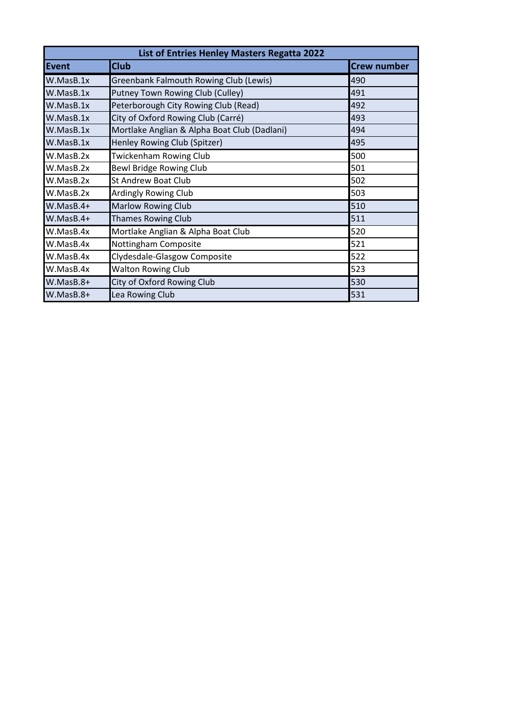| List of Entries Henley Masters Regatta 2022 |                                              |                    |
|---------------------------------------------|----------------------------------------------|--------------------|
| Event                                       | <b>Club</b>                                  | <b>Crew number</b> |
| W.MasB.1x                                   | Greenbank Falmouth Rowing Club (Lewis)       | 490                |
| W.MasB.1x                                   | Putney Town Rowing Club (Culley)             | 491                |
| W.MasB.1x                                   | Peterborough City Rowing Club (Read)         | 492                |
| W.MasB.1x                                   | City of Oxford Rowing Club (Carré)           | 493                |
| W.MasB.1x                                   | Mortlake Anglian & Alpha Boat Club (Dadlani) | 494                |
| W.MasB.1x                                   | Henley Rowing Club (Spitzer)                 | 495                |
| W.MasB.2x                                   | <b>Twickenham Rowing Club</b>                | 500                |
| W.MasB.2x                                   | Bewl Bridge Rowing Club                      | 501                |
| W.MasB.2x                                   | <b>St Andrew Boat Club</b>                   | 502                |
| W.MasB.2x                                   | <b>Ardingly Rowing Club</b>                  | 503                |
| $W.MasB.4+$                                 | <b>Marlow Rowing Club</b>                    | 510                |
| $W.MasB.4+$                                 | <b>Thames Rowing Club</b>                    | 511                |
| W.MasB.4x                                   | Mortlake Anglian & Alpha Boat Club           | 520                |
| W.MasB.4x                                   | Nottingham Composite                         | 521                |
| W.MasB.4x                                   | Clydesdale-Glasgow Composite                 | 522                |
| W.MasB.4x                                   | <b>Walton Rowing Club</b>                    | 523                |
| $W.MasB.8+$                                 | City of Oxford Rowing Club                   | 530                |
| W.MasB.8+                                   | Lea Rowing Club                              | 531                |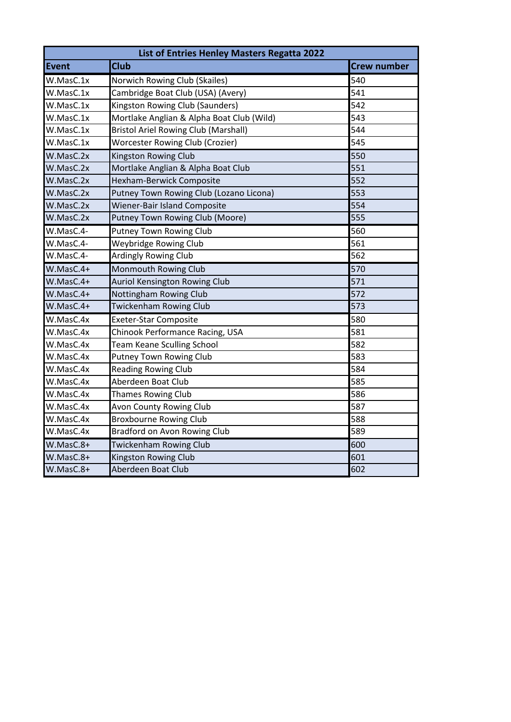| List of Entries Henley Masters Regatta 2022 |                                             |                    |
|---------------------------------------------|---------------------------------------------|--------------------|
| <b>Event</b>                                | <b>Club</b>                                 | <b>Crew number</b> |
| W.MasC.1x                                   | Norwich Rowing Club (Skailes)               | 540                |
| W.MasC.1x                                   | Cambridge Boat Club (USA) (Avery)           | 541                |
| W.MasC.1x                                   | Kingston Rowing Club (Saunders)             | 542                |
| W.MasC.1x                                   | Mortlake Anglian & Alpha Boat Club (Wild)   | 543                |
| W.MasC.1x                                   | <b>Bristol Ariel Rowing Club (Marshall)</b> | 544                |
| W.MasC.1x                                   | <b>Worcester Rowing Club (Crozier)</b>      | 545                |
| W.MasC.2x                                   | <b>Kingston Rowing Club</b>                 | 550                |
| W.MasC.2x                                   | Mortlake Anglian & Alpha Boat Club          | 551                |
| W.MasC.2x                                   | Hexham-Berwick Composite                    | 552                |
| W.MasC.2x                                   | Putney Town Rowing Club (Lozano Licona)     | 553                |
| W.MasC.2x                                   | Wiener-Bair Island Composite                | 554                |
| W.MasC.2x                                   | Putney Town Rowing Club (Moore)             | 555                |
| W.MasC.4-                                   | <b>Putney Town Rowing Club</b>              | 560                |
| W.MasC.4-                                   | <b>Weybridge Rowing Club</b>                | 561                |
| W.MasC.4-                                   | <b>Ardingly Rowing Club</b>                 | 562                |
| $W.MasC.4+$                                 | Monmouth Rowing Club                        | 570                |
| $W.MasC.4+$                                 | Auriol Kensington Rowing Club               | $\overline{571}$   |
| W.MasC.4+                                   | Nottingham Rowing Club                      | 572                |
| W.MasC.4+                                   | <b>Twickenham Rowing Club</b>               | 573                |
| W.MasC.4x                                   | <b>Exeter-Star Composite</b>                | 580                |
| W.MasC.4x                                   | Chinook Performance Racing, USA             | 581                |
| W.MasC.4x                                   | <b>Team Keane Sculling School</b>           | 582                |
| W.MasC.4x                                   | <b>Putney Town Rowing Club</b>              | 583                |
| W.MasC.4x                                   | <b>Reading Rowing Club</b>                  | 584                |
| W.MasC.4x                                   | Aberdeen Boat Club                          | 585                |
| W.MasC.4x                                   | <b>Thames Rowing Club</b>                   | 586                |
| W.MasC.4x                                   | Avon County Rowing Club                     | 587                |
| W.MasC.4x                                   | <b>Broxbourne Rowing Club</b>               | 588                |
| W.MasC.4x                                   | Bradford on Avon Rowing Club                | 589                |
| W.MasC.8+                                   | <b>Twickenham Rowing Club</b>               | 600                |
| W.MasC.8+                                   | Kingston Rowing Club                        | 601                |
| W.MasC.8+                                   | Aberdeen Boat Club                          | 602                |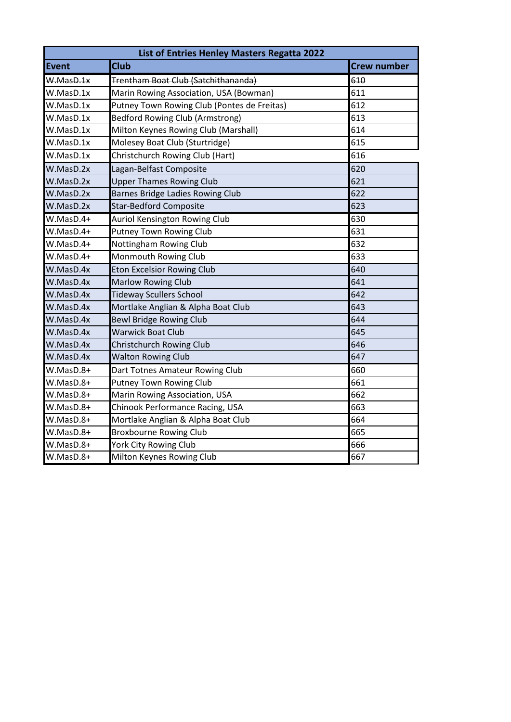| List of Entries Henley Masters Regatta 2022 |                                             |                    |
|---------------------------------------------|---------------------------------------------|--------------------|
| Event                                       | <b>Club</b>                                 | <b>Crew number</b> |
| W.MasD.1x                                   | Trentham Boat Club (Satchithananda)         | 610                |
| W.MasD.1x                                   | Marin Rowing Association, USA (Bowman)      | 611                |
| W.MasD.1x                                   | Putney Town Rowing Club (Pontes de Freitas) | 612                |
| W.MasD.1x                                   | <b>Bedford Rowing Club (Armstrong)</b>      | 613                |
| W.MasD.1x                                   | Milton Keynes Rowing Club (Marshall)        | 614                |
| W.MasD.1x                                   | Molesey Boat Club (Sturtridge)              | 615                |
| W.MasD.1x                                   | Christchurch Rowing Club (Hart)             | 616                |
| W.MasD.2x                                   | Lagan-Belfast Composite                     | 620                |
| W.MasD.2x                                   | <b>Upper Thames Rowing Club</b>             | 621                |
| W.MasD.2x                                   | Barnes Bridge Ladies Rowing Club            | 622                |
| W.MasD.2x                                   | <b>Star-Bedford Composite</b>               | 623                |
| W.MasD.4+                                   | <b>Auriol Kensington Rowing Club</b>        | 630                |
| $W.MasD.4+$                                 | <b>Putney Town Rowing Club</b>              | 631                |
| W.MasD.4+                                   | <b>Nottingham Rowing Club</b>               | 632                |
| W.MasD.4+                                   | Monmouth Rowing Club                        | 633                |
| W.MasD.4x                                   | <b>Eton Excelsior Rowing Club</b>           | 640                |
| W.MasD.4x                                   | <b>Marlow Rowing Club</b>                   | 641                |
| W.MasD.4x                                   | <b>Tideway Scullers School</b>              | 642                |
| W.MasD.4x                                   | Mortlake Anglian & Alpha Boat Club          | 643                |
| W.MasD.4x                                   | <b>Bewl Bridge Rowing Club</b>              | 644                |
| W.MasD.4x                                   | <b>Warwick Boat Club</b>                    | 645                |
| W.MasD.4x                                   | Christchurch Rowing Club                    | 646                |
| W.MasD.4x                                   | <b>Walton Rowing Club</b>                   | 647                |
| W.MasD.8+                                   | Dart Totnes Amateur Rowing Club             | 660                |
| W.MasD.8+                                   | <b>Putney Town Rowing Club</b>              | 661                |
| W.MasD.8+                                   | Marin Rowing Association, USA               | 662                |
| W.MasD.8+                                   | Chinook Performance Racing, USA             | 663                |
| W.MasD.8+                                   | Mortlake Anglian & Alpha Boat Club          | 664                |
| W.MasD.8+                                   | <b>Broxbourne Rowing Club</b>               | 665                |
| W.MasD.8+                                   | York City Rowing Club                       | 666                |
| W.MasD.8+                                   | Milton Keynes Rowing Club                   | 667                |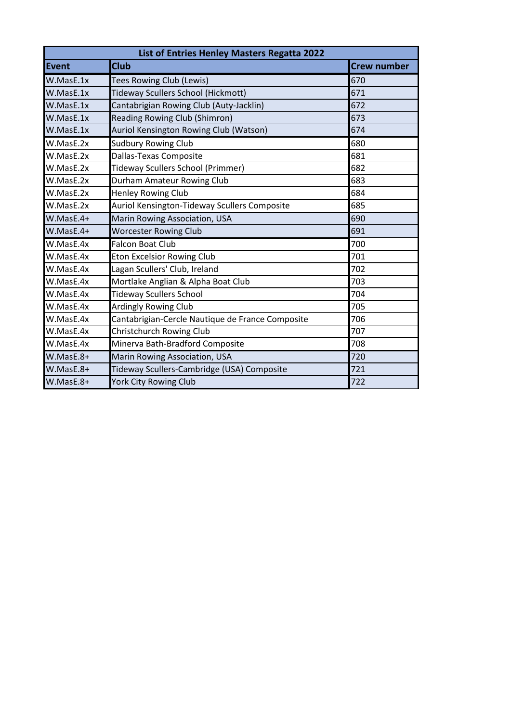| List of Entries Henley Masters Regatta 2022 |                                                  |                    |
|---------------------------------------------|--------------------------------------------------|--------------------|
| Event                                       | <b>Club</b>                                      | <b>Crew number</b> |
| W.MasE.1x                                   | <b>Tees Rowing Club (Lewis)</b>                  | 670                |
| W.MasE.1x                                   | Tideway Scullers School (Hickmott)               | 671                |
| W.MasE.1x                                   | Cantabrigian Rowing Club (Auty-Jacklin)          | 672                |
| W.MasE.1x                                   | Reading Rowing Club (Shimron)                    | 673                |
| W.MasE.1x                                   | Auriol Kensington Rowing Club (Watson)           | 674                |
| W.MasE.2x                                   | <b>Sudbury Rowing Club</b>                       | 680                |
| W.MasE.2x                                   | Dallas-Texas Composite                           | 681                |
| W.MasE.2x                                   | Tideway Scullers School (Primmer)                | 682                |
| W.MasE.2x                                   | Durham Amateur Rowing Club                       | 683                |
| W.MasE.2x                                   | <b>Henley Rowing Club</b>                        | 684                |
| W.MasE.2x                                   | Auriol Kensington-Tideway Scullers Composite     | 685                |
| $W.MasE.4+$                                 | Marin Rowing Association, USA                    | 690                |
| $W.MasE.4+$                                 | <b>Worcester Rowing Club</b>                     | 691                |
| W.MasE.4x                                   | <b>Falcon Boat Club</b>                          | 700                |
| W.MasE.4x                                   | <b>Eton Excelsior Rowing Club</b>                | 701                |
| W.MasE.4x                                   | Lagan Scullers' Club, Ireland                    | 702                |
| W.MasE.4x                                   | Mortlake Anglian & Alpha Boat Club               | 703                |
| W.MasE.4x                                   | <b>Tideway Scullers School</b>                   | 704                |
| W.MasE.4x                                   | <b>Ardingly Rowing Club</b>                      | 705                |
| W.MasE.4x                                   | Cantabrigian-Cercle Nautique de France Composite | 706                |
| W.MasE.4x                                   | Christchurch Rowing Club                         | 707                |
| W.MasE.4x                                   | Minerva Bath-Bradford Composite                  | 708                |
| $W.MasE.8+$                                 | Marin Rowing Association, USA                    | 720                |
| $W.MasE.8+$                                 | Tideway Scullers-Cambridge (USA) Composite       | 721                |
| W.MasE.8+                                   | <b>York City Rowing Club</b>                     | 722                |